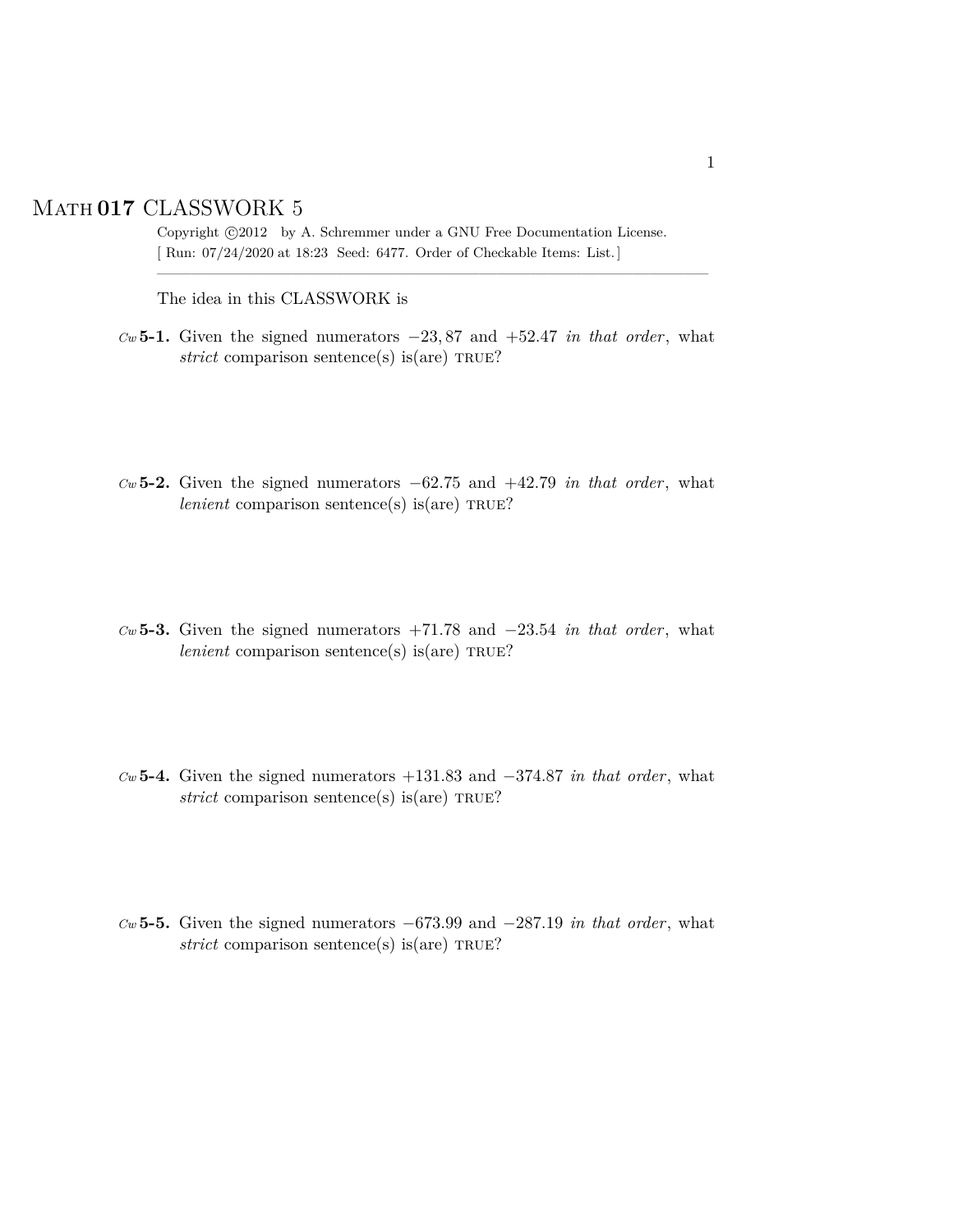## Math **017** CLASSWORK 5

Copyright  $\odot$ 2012 by A. Schremmer under a GNU Free Documentation License. [ Run: 07/24/2020 at 18:23 Seed: 6477. Order of Checkable Items: List.]

————————————————————————————————–

The idea in this CLASSWORK is

- *Cw* **5-1.** Given the signed numerators −23, 87 and +52.47 *in that order*, what  $strict$  comparison sentence(s) is(are) TRUE?
- *Cw* **5-2.** Given the signed numerators −62.75 and +42.79 *in that order*, what *lenient* comparison sentence(s) is(are)  $TRUE$ ?
- *Cw* **5-3.** Given the signed numerators +71.78 and −23.54 *in that order*, what *lenient* comparison sentence(s) is(are) TRUE?
- *Cw* **5-4.** Given the signed numerators +131.83 and −374.87 *in that order*, what  $strict$  comparison sentence(s) is(are) TRUE?
- *Cw* **5-5.** Given the signed numerators −673.99 and −287.19 *in that order*, what  $strict$  comparison sentence(s) is(are) TRUE?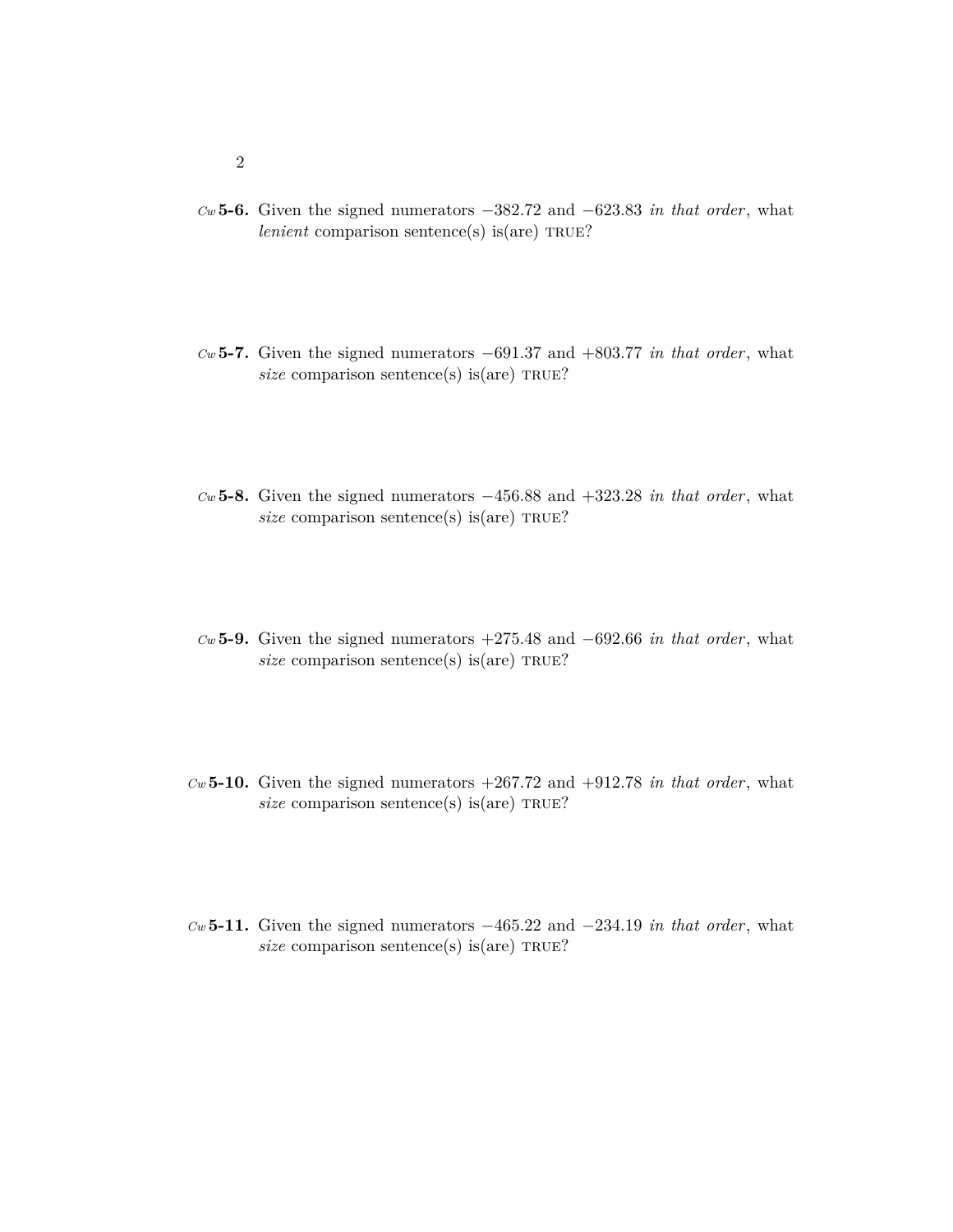- *Cw* **5-6.** Given the signed numerators −382.72 and −623.83 *in that order*, what *lenient* comparison sentence(s) is(are)  $TRUE$ ?
- *Cw* **5-7.** Given the signed numerators −691.37 and +803.77 *in that order*, what  $size$  comparison sentence(s) is(are) TRUE?
- *Cw* **5-8.** Given the signed numerators −456.88 and +323.28 *in that order*, what *size* comparison sentence(s) is(are) TRUE?
- *Cw* **5-9.** Given the signed numerators +275.48 and −692.66 *in that order*, what *size* comparison sentence(s) is(are) TRUE?
- *Cw* **5-10.** Given the signed numerators +267.72 and +912.78 *in that order*, what *size* comparison sentence(s) is(are) TRUE?
- *Cw* **5-11.** Given the signed numerators −465.22 and −234.19 *in that order*, what *size* comparison sentence(s) is(are) TRUE?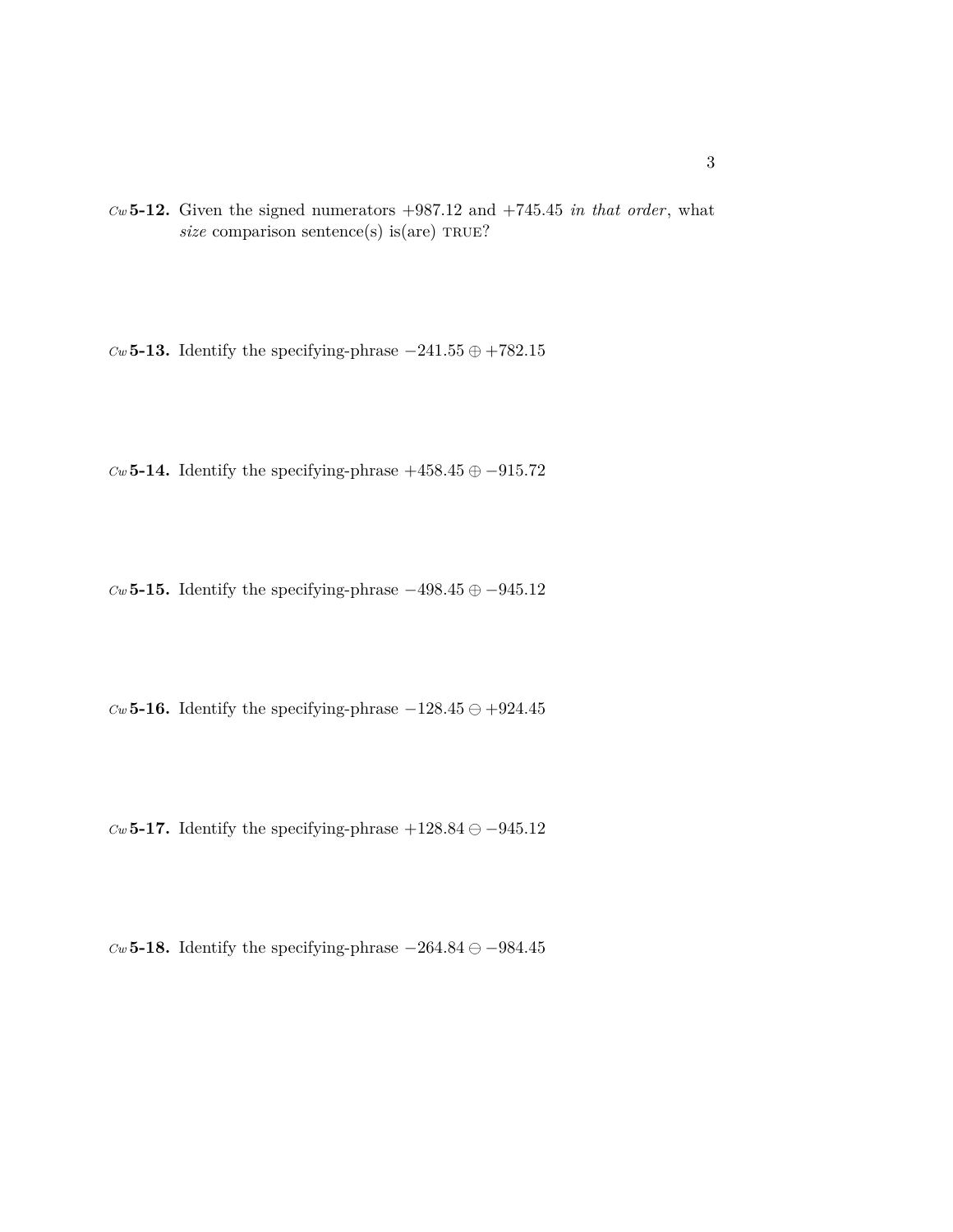$Cw$  **5-12.** Given the signed numerators  $+987.12$  and  $+745.45$  *in that order*, what  $size$  comparison sentence(s) is(are) TRUE?

 $Cw$  **5-13.** Identify the specifying-phrase  $-241.55 \oplus +782.15$ 

 $Cw$  **5-14.** Identify the specifying-phrase  $+458.45 \oplus -915.72$ 

 $Cw$  **5-15.** Identify the specifying-phrase  $-498.45 \oplus -945.12$ 

 $Cw$  **5-16.** Identify the specifying-phrase  $-128.45 \ominus +924.45$ 

*Cw* **5-17.** Identify the specifying-phrase  $+128.84 \ominus -945.12$ 

 $Cw$  **5-18.** Identify the specifying-phrase  $-264.84 \ominus -984.45$